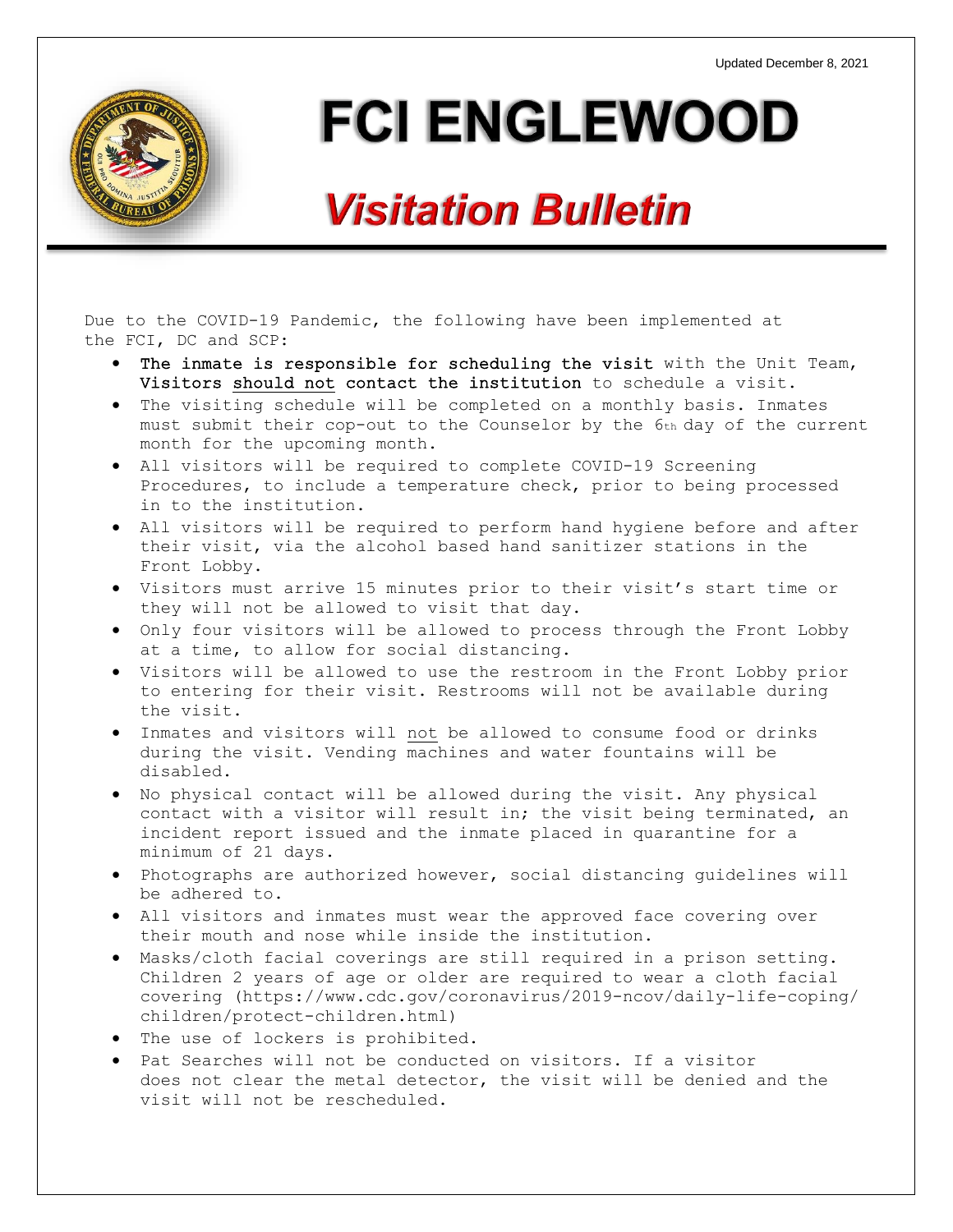

# **FCI ENGLEWOOD**

## **Visitation Bulletin**

Due to the COVID-19 Pandemic, the following have been implemented at the FCI, DC and SCP:

- The inmate is responsible for scheduling the visit with the Unit Team, Visitors should not contact the institution to schedule a visit.
- The visiting schedule will be completed on a monthly basis. Inmates must submit their cop-out to the Counselor by the 6th day of the current month for the upcoming month.
- All visitors will be required to complete COVID-19 Screening Procedures, to include a temperature check, prior to being processed in to the institution.
- All visitors will be required to perform hand hygiene before and after their visit, via the alcohol based hand sanitizer stations in the Front Lobby.
- Visitors must arrive 15 minutes prior to their visit's start time or they will not be allowed to visit that day.
- Only four visitors will be allowed to process through the Front Lobby at a time, to allow for social distancing.
- Visitors will be allowed to use the restroom in the Front Lobby prior to entering for their visit. Restrooms will not be available during the visit.
- Inmates and visitors will not be allowed to consume food or drinks during the visit. Vending machines and water fountains will be disabled.
- No physical contact will be allowed during the visit. Any physical contact with a visitor will result in; the visit being terminated, an incident report issued and the inmate placed in quarantine for a minimum of 21 days.
- Photographs are authorized however, social distancing guidelines will be adhered to.
- All visitors and inmates must wear the approved face covering over their mouth and nose while inside the institution.
- Masks/cloth facial coverings are still required in a prison setting. Children 2 years of age or older are required to wear a cloth facial covering (https://www.cdc.gov/coronavirus/2019-ncov/daily-life-coping/ children/protect-children.html)
- The use of lockers is prohibited.
- Pat Searches will not be conducted on visitors. If a visitor does not clear the metal detector, the visit will be denied and the visit will not be rescheduled.